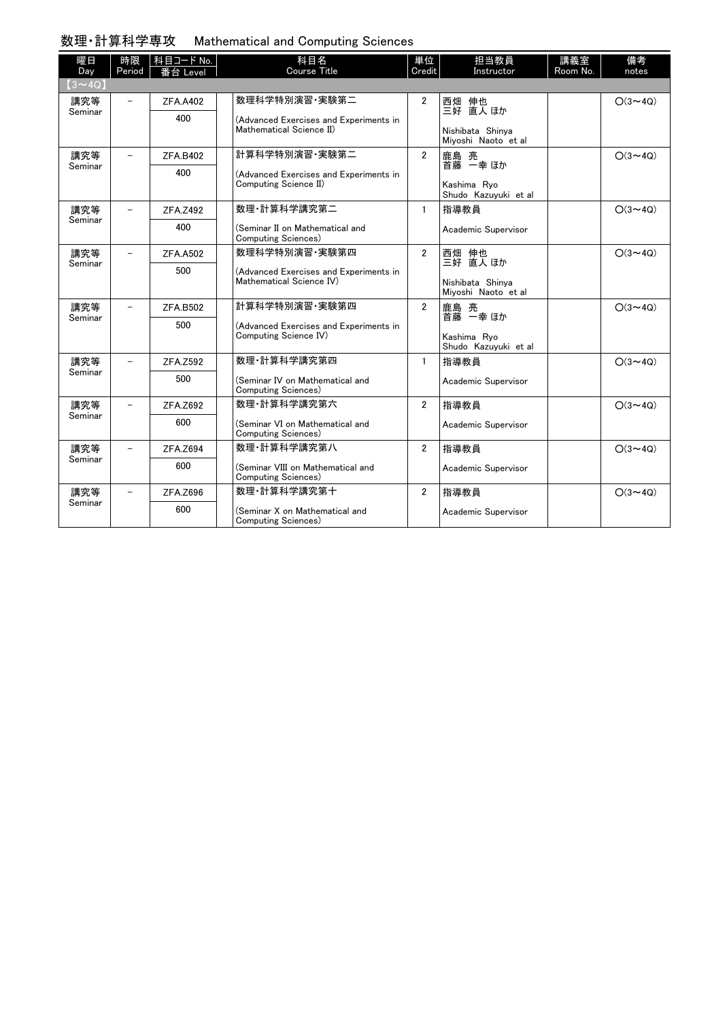## 数理・計算科学専攻 Mathematical and Computing Sciences

| 曜日<br>Day      | 時限<br>Period             | │科目コード No.<br>番台 Level | 科目名<br>Course Title                                                              | 単位<br>Credit   | 担当教員<br>Instructor                      | 講義室<br>Room No. | 備考<br>notes    |
|----------------|--------------------------|------------------------|----------------------------------------------------------------------------------|----------------|-----------------------------------------|-----------------|----------------|
| $(3 \sim 4Q)$  |                          |                        |                                                                                  |                |                                         |                 |                |
| 講究等<br>Seminar | $\overline{\phantom{m}}$ | <b>ZFA.A402</b>        | 数理科学特別演習 実験第二                                                                    | $\overline{2}$ | 西畑 伸也<br>三好 直人 ほか                       |                 | $O(3 \sim 4Q)$ |
|                |                          | 400                    | (Advanced Exercises and Experiments in<br>Mathematical Science II)               |                |                                         |                 |                |
|                |                          |                        |                                                                                  |                | Nishibata Shinya<br>Mivoshi Naoto et al |                 |                |
| 講究等<br>Seminar | $\overline{\phantom{m}}$ | <b>ZFA.B402</b>        | 計算科学特別演習 実験第二<br>(Advanced Exercises and Experiments in<br>Computing Science II) | $\overline{2}$ | 鹿島 亮<br>首藤 一幸 ほか<br>Kashima Rvo         |                 | $O(3 \sim 4Q)$ |
|                |                          | 400                    |                                                                                  |                |                                         |                 |                |
|                |                          |                        |                                                                                  |                | Shudo Kazuyuki et al                    |                 |                |
| 講究等<br>Seminar |                          | ZFA.Z492               | 数理·計算科学講究第二                                                                      | $\mathbf{1}$   | 指導教員                                    |                 | $O(3 \sim 4Q)$ |
|                |                          | 400                    | (Seminar II on Mathematical and<br>Computing Sciences)                           |                | Academic Supervisor                     |                 |                |
| 講究等<br>Seminar | $\equiv$                 | <b>ZFA.A502</b>        | 数理科学特別演習·実験第四                                                                    | $\overline{2}$ | 西畑 伸也<br>三好 直人ほか                        |                 | $O(3 \sim 4Q)$ |
|                |                          | 500                    | (Advanced Exercises and Experiments in<br>Mathematical Science IV)               |                | Nishibata Shinva                        |                 |                |
|                |                          |                        |                                                                                  |                | Mivoshi Naoto et al                     |                 |                |
| 講究等<br>Seminar |                          | ZFA.B502               | 計算科学特別演習 実験第四<br>(Advanced Exercises and Experiments in<br>Computing Science IV) | $\overline{2}$ | 鹿島 亮<br>首藤 一幸 ほか                        |                 | $O(3 \sim 4Q)$ |
|                |                          | 500                    |                                                                                  |                | Kashima Ryo                             |                 |                |
|                |                          |                        |                                                                                  |                | Shudo Kazuyuki et al                    |                 |                |
| 講究等<br>Seminar | $\overline{\phantom{m}}$ | ZFA.Z592               | 数理 計算科学講究第四                                                                      | $\mathbf{1}$   | 指導教員                                    |                 | $O(3 \sim 4Q)$ |
|                |                          | 500                    | (Seminar IV on Mathematical and<br>Computing Sciences)                           |                | Academic Supervisor                     |                 |                |
| 講究等<br>Seminar |                          | ZFA.Z692               | 数理 計算科学講究第六                                                                      | $\overline{2}$ | 指導教員                                    |                 | $O(3 \sim 4Q)$ |
|                |                          | 600                    | (Seminar VI on Mathematical and<br>Computing Sciences)                           |                | Academic Supervisor                     |                 |                |
| 講究等<br>Seminar |                          | ZFA.Z694               | 数理·計算科学講究第八                                                                      | $\overline{2}$ | 指導教員                                    |                 | $O(3 \sim 4Q)$ |
|                |                          | 600                    | (Seminar VIII on Mathematical and<br>Computing Sciences)                         |                | Academic Supervisor                     |                 |                |
| 講究等<br>Seminar |                          | ZFA.Z696               | 数理·計算科学講究第十                                                                      | $\overline{2}$ | 指導教員                                    |                 | $O(3 \sim 4Q)$ |
|                |                          | 600                    | (Seminar X on Mathematical and<br>Computing Sciences)                            |                | Academic Supervisor                     |                 |                |